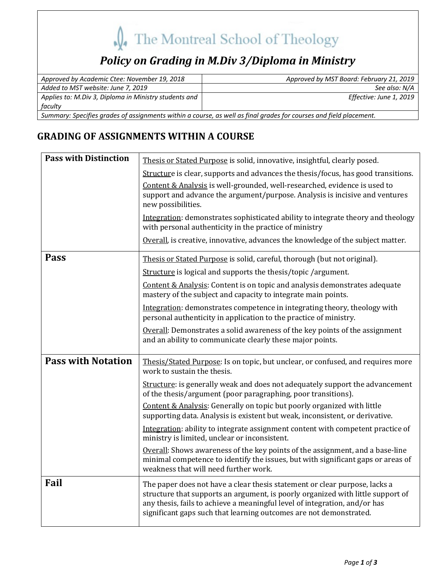# The Montreal School of Theology

## **Policy on Grading in M.Div 3/Diploma in Ministry**

| Approved by Academic Ctee: November 19, 2018                                                                       | Approved by MST Board: February 21, 2019 |  |
|--------------------------------------------------------------------------------------------------------------------|------------------------------------------|--|
| Added to MST website: June 7, 2019                                                                                 | See also: N/A                            |  |
| Applies to: M.Div 3, Diploma in Ministry students and                                                              | Effective: June 1, 2019                  |  |
| faculty                                                                                                            |                                          |  |
| Summary: Specifies grades of assignments within a course, as well as final grades for courses and field placement. |                                          |  |

### **GRADING OF ASSIGNMENTS WITHIN A COURSE**

| <b>Pass with Distinction</b> | Thesis or Stated Purpose is solid, innovative, insightful, clearly posed.                                                                                                                                                                                                                                         |
|------------------------------|-------------------------------------------------------------------------------------------------------------------------------------------------------------------------------------------------------------------------------------------------------------------------------------------------------------------|
|                              | Structure is clear, supports and advances the thesis/focus, has good transitions.                                                                                                                                                                                                                                 |
|                              | Content & Analysis is well-grounded, well-researched, evidence is used to<br>support and advance the argument/purpose. Analysis is incisive and ventures<br>new possibilities.                                                                                                                                    |
|                              | Integration: demonstrates sophisticated ability to integrate theory and theology<br>with personal authenticity in the practice of ministry                                                                                                                                                                        |
|                              | Overall, is creative, innovative, advances the knowledge of the subject matter.                                                                                                                                                                                                                                   |
| Pass                         | Thesis or Stated Purpose is solid, careful, thorough (but not original).                                                                                                                                                                                                                                          |
|                              | Structure is logical and supports the thesis/topic/argument.                                                                                                                                                                                                                                                      |
|                              | Content & Analysis: Content is on topic and analysis demonstrates adequate<br>mastery of the subject and capacity to integrate main points.                                                                                                                                                                       |
|                              | Integration: demonstrates competence in integrating theory, theology with<br>personal authenticity in application to the practice of ministry.                                                                                                                                                                    |
|                              | Overall: Demonstrates a solid awareness of the key points of the assignment<br>and an ability to communicate clearly these major points.                                                                                                                                                                          |
| <b>Pass with Notation</b>    | Thesis/Stated Purpose: Is on topic, but unclear, or confused, and requires more<br>work to sustain the thesis.                                                                                                                                                                                                    |
|                              | Structure: is generally weak and does not adequately support the advancement<br>of the thesis/argument (poor paragraphing, poor transitions).                                                                                                                                                                     |
|                              | Content & Analysis: Generally on topic but poorly organized with little<br>supporting data. Analysis is existent but weak, inconsistent, or derivative.                                                                                                                                                           |
|                              | Integration: ability to integrate assignment content with competent practice of<br>ministry is limited, unclear or inconsistent.                                                                                                                                                                                  |
|                              | Overall: Shows awareness of the key points of the assignment, and a base-line<br>minimal competence to identify the issues, but with significant gaps or areas of<br>weakness that will need further work.                                                                                                        |
| Fail                         | The paper does not have a clear thesis statement or clear purpose, lacks a<br>structure that supports an argument, is poorly organized with little support of<br>any thesis, fails to achieve a meaningful level of integration, and/or has<br>significant gaps such that learning outcomes are not demonstrated. |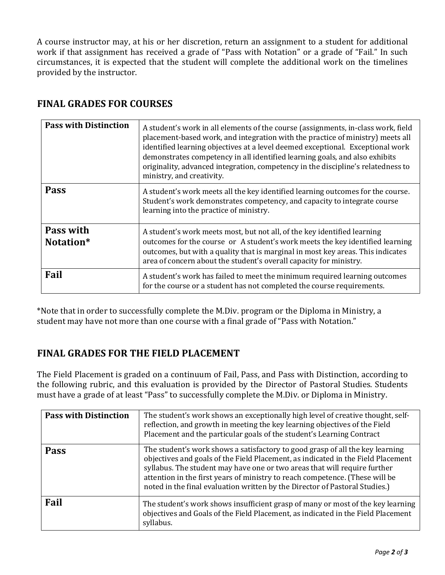A course instructor may, at his or her discretion, return an assignment to a student for additional work if that assignment has received a grade of "Pass with Notation" or a grade of "Fail." In such circumstances, it is expected that the student will complete the additional work on the timelines provided by the instructor.

#### **FINAL GRADES FOR COURSES**

| <b>Pass with Distinction</b> | A student's work in all elements of the course (assignments, in-class work, field<br>placement-based work, and integration with the practice of ministry) meets all<br>identified learning objectives at a level deemed exceptional. Exceptional work<br>demonstrates competency in all identified learning goals, and also exhibits<br>originality, advanced integration, competency in the discipline's relatedness to<br>ministry, and creativity. |
|------------------------------|-------------------------------------------------------------------------------------------------------------------------------------------------------------------------------------------------------------------------------------------------------------------------------------------------------------------------------------------------------------------------------------------------------------------------------------------------------|
| <b>Pass</b>                  | A student's work meets all the key identified learning outcomes for the course.<br>Student's work demonstrates competency, and capacity to integrate course<br>learning into the practice of ministry.                                                                                                                                                                                                                                                |
| Pass with<br>Notation*       | A student's work meets most, but not all, of the key identified learning<br>outcomes for the course or A student's work meets the key identified learning<br>outcomes, but with a quality that is marginal in most key areas. This indicates<br>area of concern about the student's overall capacity for ministry.                                                                                                                                    |
| Fail                         | A student's work has failed to meet the minimum required learning outcomes<br>for the course or a student has not completed the course requirements.                                                                                                                                                                                                                                                                                                  |

\*Note that in order to successfully complete the M.Div. program or the Diploma in Ministry, a student may have not more than one course with a final grade of "Pass with Notation."

#### **FINAL GRADES FOR THE FIELD PLACEMENT**

The Field Placement is graded on a continuum of Fail, Pass, and Pass with Distinction, according to the following rubric, and this evaluation is provided by the Director of Pastoral Studies. Students must have a grade of at least "Pass" to successfully complete the M.Div. or Diploma in Ministry.

| <b>Pass with Distinction</b> | The student's work shows an exceptionally high level of creative thought, self-<br>reflection, and growth in meeting the key learning objectives of the Field<br>Placement and the particular goals of the student's Learning Contract                                                                                                                                                                        |
|------------------------------|---------------------------------------------------------------------------------------------------------------------------------------------------------------------------------------------------------------------------------------------------------------------------------------------------------------------------------------------------------------------------------------------------------------|
| <b>Pass</b>                  | The student's work shows a satisfactory to good grasp of all the key learning<br>objectives and goals of the Field Placement, as indicated in the Field Placement<br>syllabus. The student may have one or two areas that will require further<br>attention in the first years of ministry to reach competence. (These will be<br>noted in the final evaluation written by the Director of Pastoral Studies.) |
| Fail                         | The student's work shows insufficient grasp of many or most of the key learning<br>objectives and Goals of the Field Placement, as indicated in the Field Placement<br>syllabus.                                                                                                                                                                                                                              |